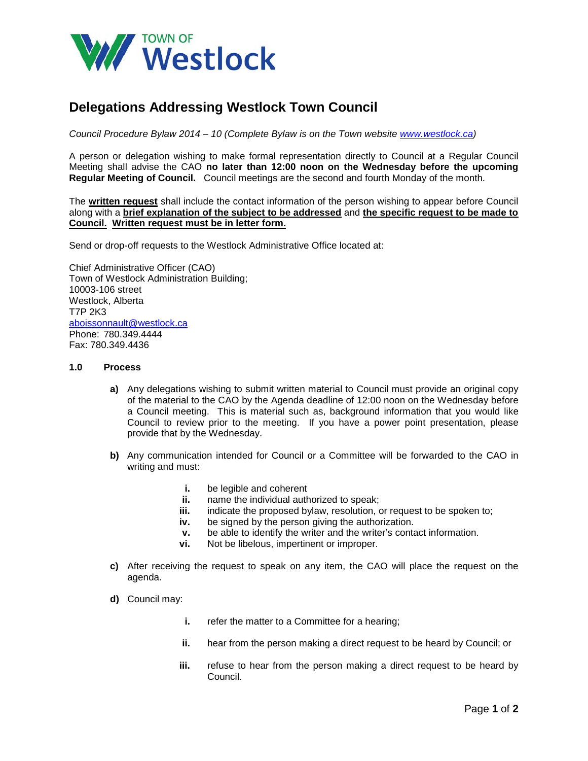

## **Delegations Addressing Westlock Town Council**

*Council Procedure Bylaw 2014 – 10 (Complete Bylaw is on the Town website [www.westlock.ca\)](http://www.westlock.ca/)* 

A person or delegation wishing to make formal representation directly to Council at a Regular Council Meeting shall advise the CAO **no later than 12:00 noon on the Wednesday before the upcoming Regular Meeting of Council.** Council meetings are the second and fourth Monday of the month.

The **written request** shall include the contact information of the person wishing to appear before Council along with a **brief explanation of the subject to be addressed** and **the specific request to be made to Council. Written request must be in letter form.** 

Send or drop-off requests to the Westlock Administrative Office located at:

Chief Administrative Officer (CAO) Town of Westlock Administration Building; 10003-106 street Westlock, Alberta T7P 2K3 [aboissonnault@westlock.ca](mailto:dgarceau@westlock.ca) Phone: 780.349.4444 Fax: 780.349.4436

## **1.0 Process**

- **a)** Any delegations wishing to submit written material to Council must provide an original copy of the material to the CAO by the Agenda deadline of 12:00 noon on the Wednesday before a Council meeting. This is material such as, background information that you would like Council to review prior to the meeting. If you have a power point presentation, please provide that by the Wednesday.
- **b)** Any communication intended for Council or a Committee will be forwarded to the CAO in writing and must:
	- **i.** be legible and coherent
	- **ii.** name the individual authorized to speak;
	- **iii.** indicate the proposed bylaw, resolution, or request to be spoken to;
	- **iv.** be signed by the person giving the authorization.
	- **v.** be able to identify the writer and the writer's contact information.<br>**vi.** Not be libelous impertinent or improper
	- **vi.** Not be libelous, impertinent or improper.
- **c)** After receiving the request to speak on any item, the CAO will place the request on the agenda.
- **d)** Council may:
	- **i.** refer the matter to a Committee for a hearing;
	- **ii.** hear from the person making a direct request to be heard by Council; or
	- **iii.** refuse to hear from the person making a direct request to be heard by Council.